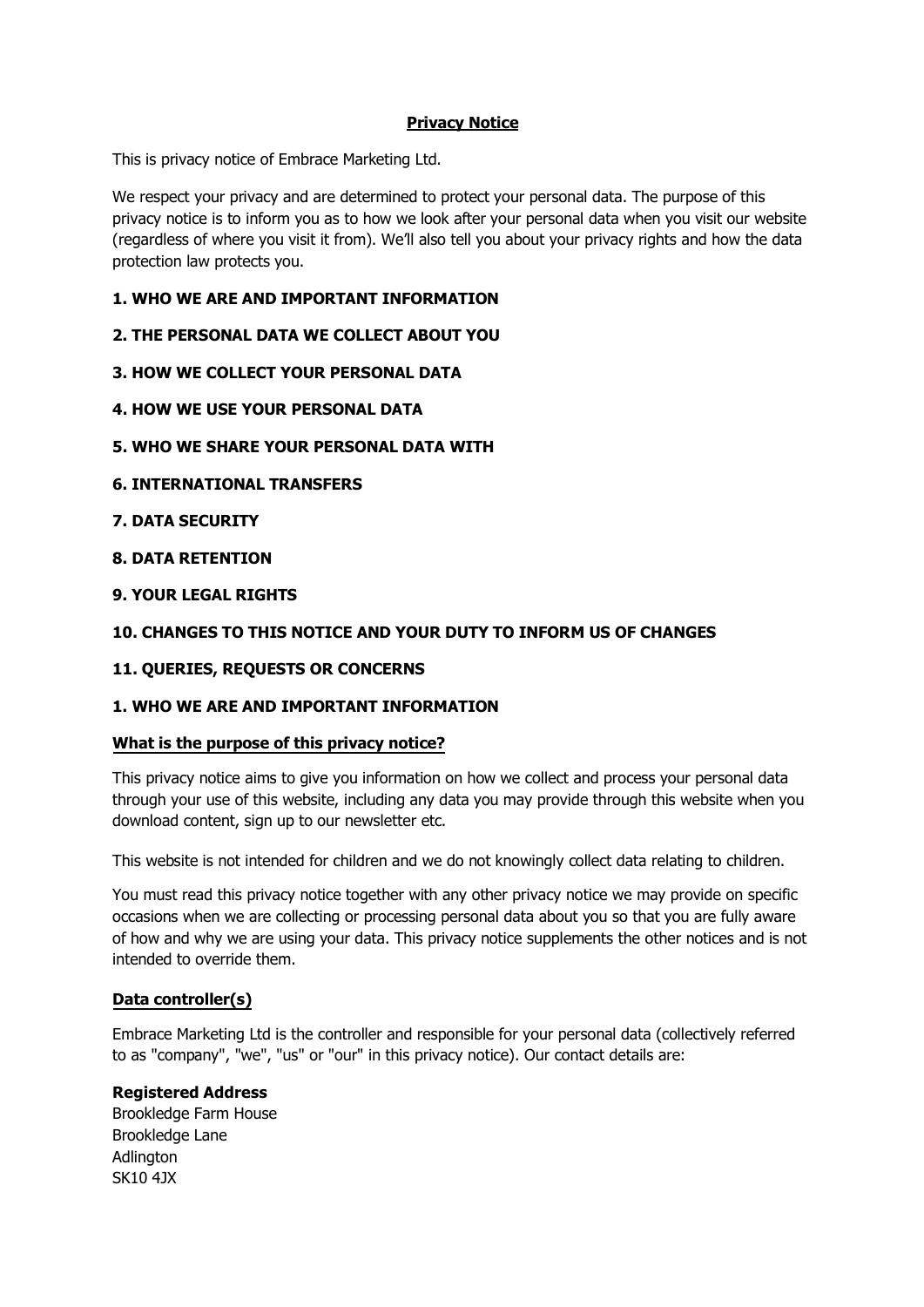## **Privacy Notice**

This is privacy notice of Embrace Marketing Ltd.

We respect your privacy and are determined to protect your personal data. The purpose of this privacy notice is to inform you as to how we look after your personal data when you visit our website (regardless of where you visit it from). We'll also tell you about your privacy rights and how the data protection law protects you.

# **1. WHO WE ARE AND IMPORTANT INFORMATION**

# **2. THE PERSONAL DATA WE COLLECT ABOUT YOU**

- **3. HOW WE COLLECT YOUR PERSONAL DATA**
- **4. HOW WE USE YOUR PERSONAL DATA**
- **5. WHO WE SHARE YOUR PERSONAL DATA WITH**
- **6. INTERNATIONAL TRANSFERS**
- **7. DATA SECURITY**
- **8. DATA RETENTION**
- **9. YOUR LEGAL RIGHTS**

## **10. CHANGES TO THIS NOTICE AND YOUR DUTY TO INFORM US OF CHANGES**

**11. QUERIES, REQUESTS OR CONCERNS**

### **1. WHO WE ARE AND IMPORTANT INFORMATION**

### **What is the purpose of this privacy notice?**

This privacy notice aims to give you information on how we collect and process your personal data through your use of this website, including any data you may provide through this website when you download content, sign up to our newsletter etc.

This website is not intended for children and we do not knowingly collect data relating to children.

You must read this privacy notice together with any other privacy notice we may provide on specific occasions when we are collecting or processing personal data about you so that you are fully aware of how and why we are using your data. This privacy notice supplements the other notices and is not intended to override them.

### **Data controller(s)**

Embrace Marketing Ltd is the controller and responsible for your personal data (collectively referred to as "company", "we", "us" or "our" in this privacy notice). Our contact details are:

### **Registered Address**

Brookledge Farm House Brookledge Lane Adlington SK10 4JX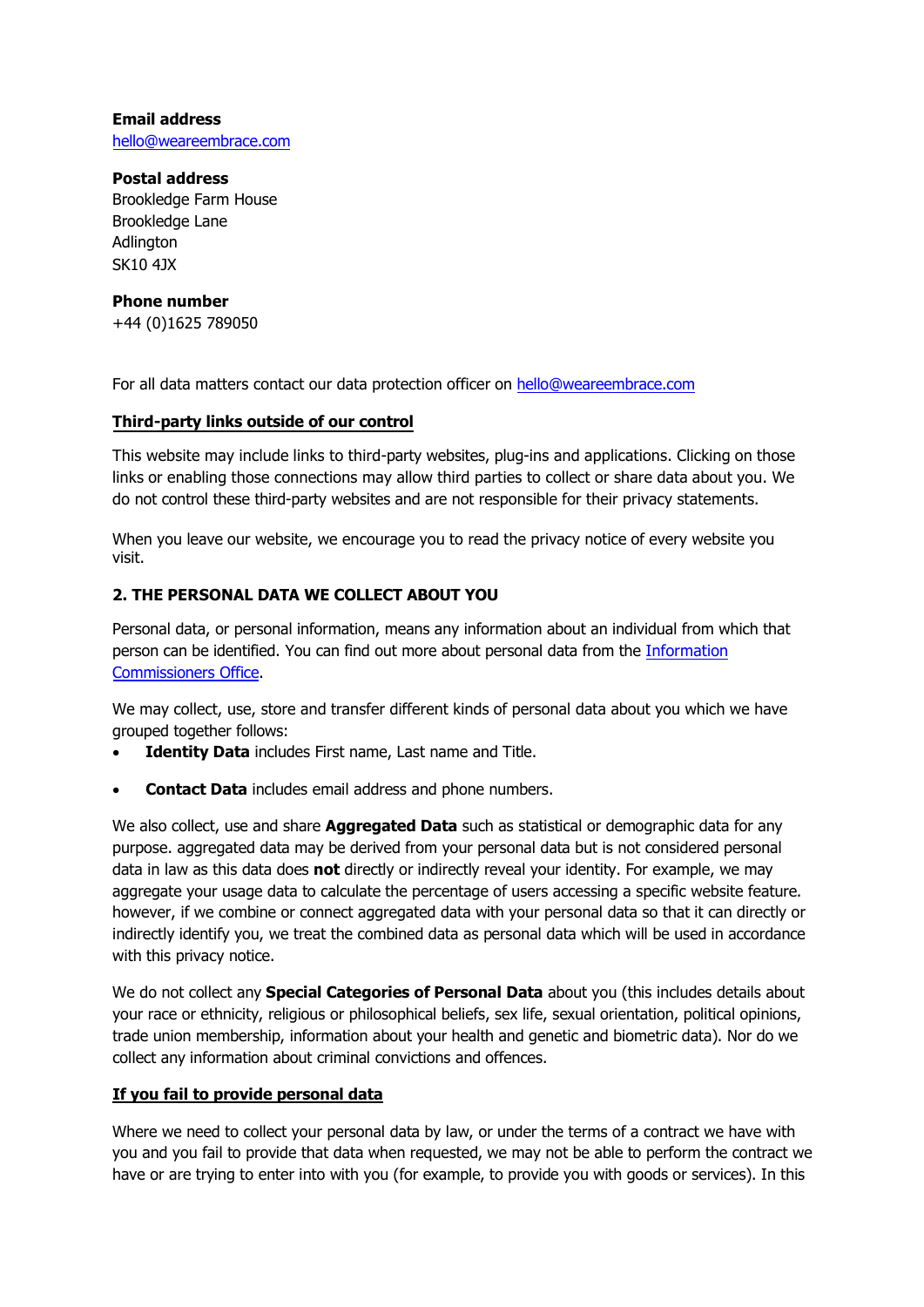# **Email address**

hello@weareembrace.com

## **Postal address**

Brookledge Farm House Brookledge Lane Adlington SK10 4JX

### **Phone number**

+44 (0)1625 789050

For all data matters contact our data protection officer on hello@weareembrace.com

## **Third-party links outside of our control**

This website may include links to third-party websites, plug-ins and applications. Clicking on those links or enabling those connections may allow third parties to collect or share data about you. We do not control these third-party websites and are not responsible for their privacy statements.

When you leave our website, we encourage you to read the privacy notice of every website you visit.

# **2. THE PERSONAL DATA WE COLLECT ABOUT YOU**

Personal data, or personal information, means any information about an individual from which that person can be identified. You can find out more about personal data from the Information Commissioners Office.

We may collect, use, store and transfer different kinds of personal data about you which we have grouped together follows:

- **Identity Data** includes First name, Last name and Title.
- **Contact Data** includes email address and phone numbers.

We also collect, use and share **Aggregated Data** such as statistical or demographic data for any purpose. aggregated data may be derived from your personal data but is not considered personal data in law as this data does **not** directly or indirectly reveal your identity. For example, we may aggregate your usage data to calculate the percentage of users accessing a specific website feature. however, if we combine or connect aggregated data with your personal data so that it can directly or indirectly identify you, we treat the combined data as personal data which will be used in accordance with this privacy notice.

We do not collect any **Special Categories of Personal Data** about you (this includes details about your race or ethnicity, religious or philosophical beliefs, sex life, sexual orientation, political opinions, trade union membership, information about your health and genetic and biometric data). Nor do we collect any information about criminal convictions and offences.

# **If you fail to provide personal data**

Where we need to collect your personal data by law, or under the terms of a contract we have with you and you fail to provide that data when requested, we may not be able to perform the contract we have or are trying to enter into with you (for example, to provide you with goods or services). In this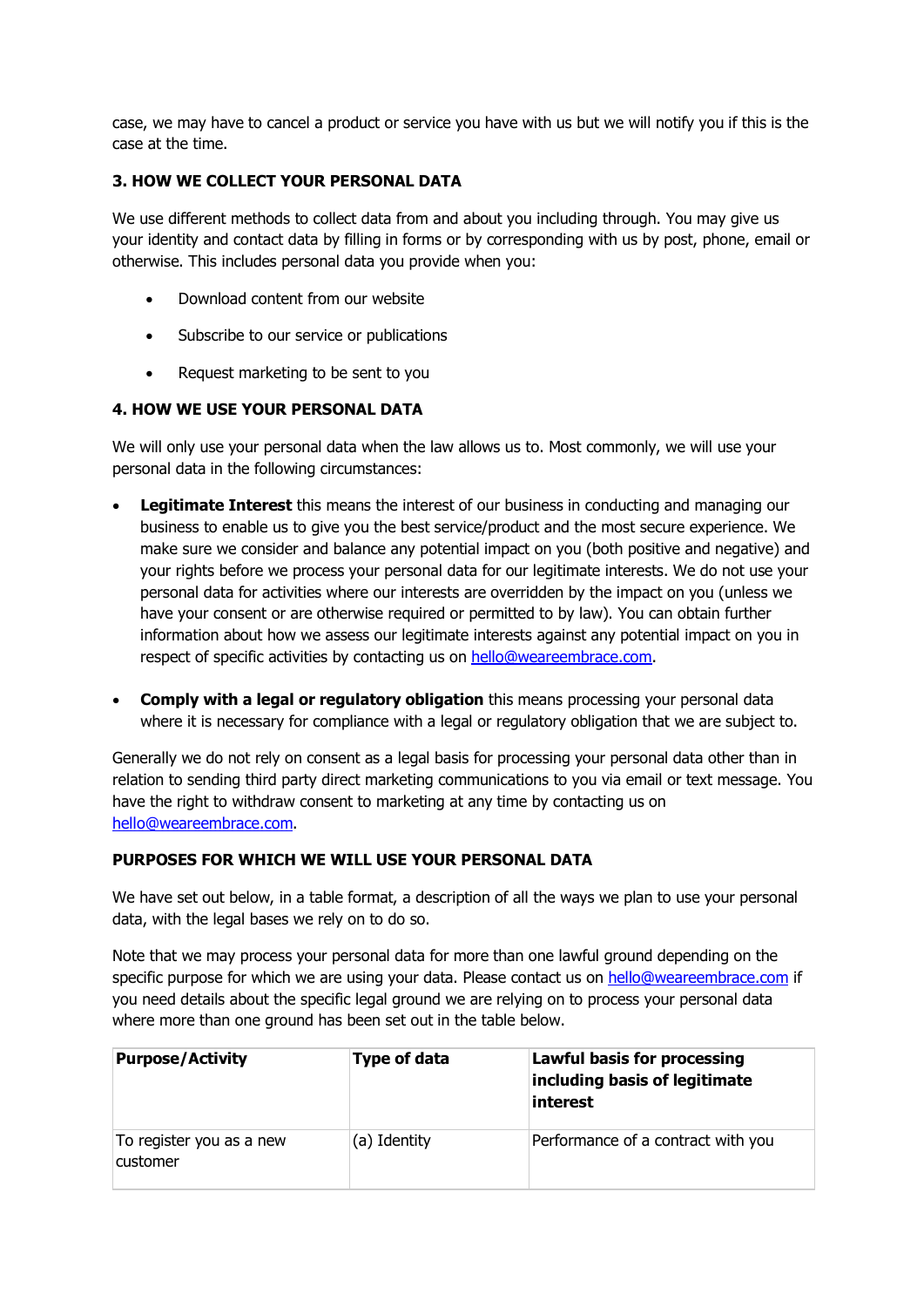case, we may have to cancel a product or service you have with us but we will notify you if this is the case at the time.

# **3. HOW WE COLLECT YOUR PERSONAL DATA**

We use different methods to collect data from and about you including through. You may give us your identity and contact data by filling in forms or by corresponding with us by post, phone, email or otherwise. This includes personal data you provide when you:

- Download content from our website
- Subscribe to our service or publications
- Request marketing to be sent to you

# **4. HOW WE USE YOUR PERSONAL DATA**

We will only use your personal data when the law allows us to. Most commonly, we will use your personal data in the following circumstances:

- **Legitimate Interest** this means the interest of our business in conducting and managing our business to enable us to give you the best service/product and the most secure experience. We make sure we consider and balance any potential impact on you (both positive and negative) and your rights before we process your personal data for our legitimate interests. We do not use your personal data for activities where our interests are overridden by the impact on you (unless we have your consent or are otherwise required or permitted to by law). You can obtain further information about how we assess our legitimate interests against any potential impact on you in respect of specific activities by contacting us on hello@weareembrace.com.
- **Comply with a legal or regulatory obligation** this means processing your personal data where it is necessary for compliance with a legal or regulatory obligation that we are subject to.

Generally we do not rely on consent as a legal basis for processing your personal data other than in relation to sending third party direct marketing communications to you via email or text message. You have the right to withdraw consent to marketing at any time by contacting us on hello@weareembrace.com.

# **PURPOSES FOR WHICH WE WILL USE YOUR PERSONAL DATA**

We have set out below, in a table format, a description of all the ways we plan to use your personal data, with the legal bases we rely on to do so.

Note that we may process your personal data for more than one lawful ground depending on the specific purpose for which we are using your data. Please contact us on hello@weareembrace.com if you need details about the specific legal ground we are relying on to process your personal data where more than one ground has been set out in the table below.

| <b>Purpose/Activity</b>              | <b>Type of data</b> | <b>Lawful basis for processing</b><br>including basis of legitimate<br>interest |
|--------------------------------------|---------------------|---------------------------------------------------------------------------------|
| To register you as a new<br>customer | (a) Identity        | Performance of a contract with you                                              |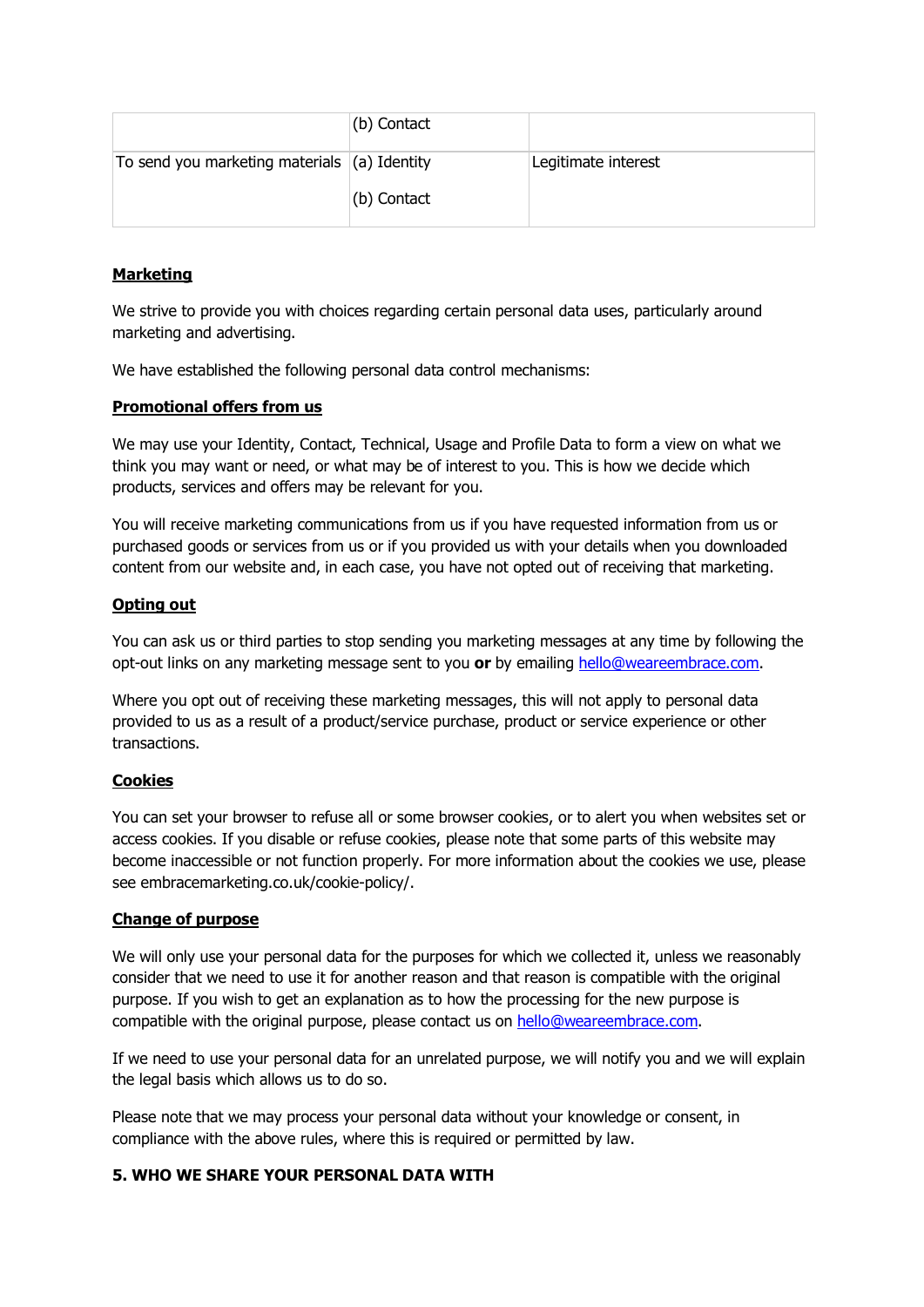|                                              | $(b)$ Contact |                     |
|----------------------------------------------|---------------|---------------------|
| To send you marketing materials (a) Identity |               | Legitimate interest |
|                                              | $(b)$ Contact |                     |

# **Marketing**

We strive to provide you with choices regarding certain personal data uses, particularly around marketing and advertising.

We have established the following personal data control mechanisms:

# **Promotional offers from us**

We may use your Identity, Contact, Technical, Usage and Profile Data to form a view on what we think you may want or need, or what may be of interest to you. This is how we decide which products, services and offers may be relevant for you.

You will receive marketing communications from us if you have requested information from us or purchased goods or services from us or if you provided us with your details when you downloaded content from our website and, in each case, you have not opted out of receiving that marketing.

## **Opting out**

You can ask us or third parties to stop sending you marketing messages at any time by following the opt-out links on any marketing message sent to you **or** by emailing hello@weareembrace.com.

Where you opt out of receiving these marketing messages, this will not apply to personal data provided to us as a result of a product/service purchase, product or service experience or other transactions.

# **Cookies**

You can set your browser to refuse all or some browser cookies, or to alert you when websites set or access cookies. If you disable or refuse cookies, please note that some parts of this website may become inaccessible or not function properly. For more information about the cookies we use, please see embracemarketing.co.uk/cookie-policy/.

### **Change of purpose**

We will only use your personal data for the purposes for which we collected it, unless we reasonably consider that we need to use it for another reason and that reason is compatible with the original purpose. If you wish to get an explanation as to how the processing for the new purpose is compatible with the original purpose, please contact us on hello@weareembrace.com.

If we need to use your personal data for an unrelated purpose, we will notify you and we will explain the legal basis which allows us to do so.

Please note that we may process your personal data without your knowledge or consent, in compliance with the above rules, where this is required or permitted by law.

### **5. WHO WE SHARE YOUR PERSONAL DATA WITH**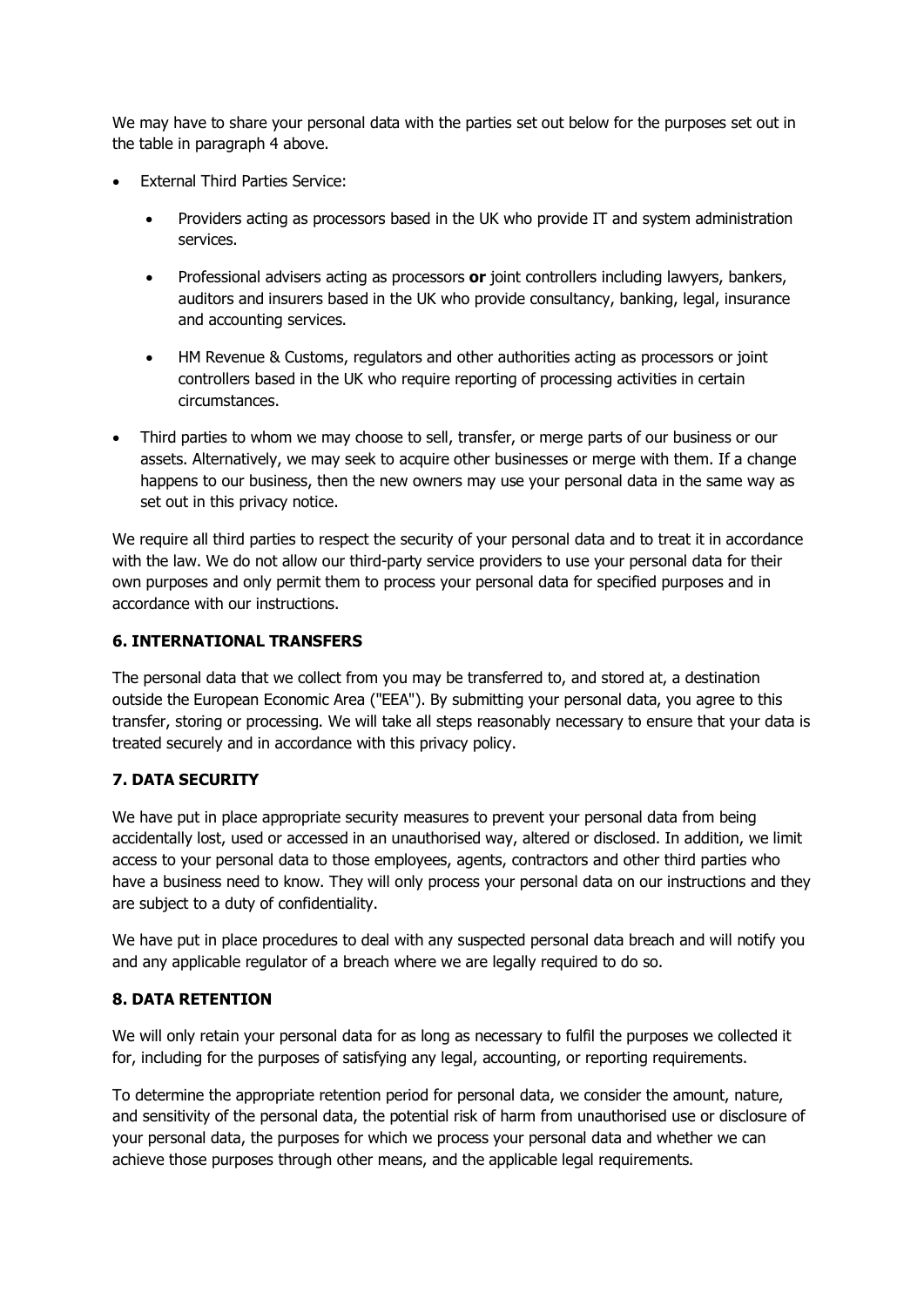We may have to share your personal data with the parties set out below for the purposes set out in the table in paragraph 4 above.

- External Third Parties Service:
	- Providers acting as processors based in the UK who provide IT and system administration services.
	- Professional advisers acting as processors **or** joint controllers including lawyers, bankers, auditors and insurers based in the UK who provide consultancy, banking, legal, insurance and accounting services.
	- HM Revenue & Customs, regulators and other authorities acting as processors or joint controllers based in the UK who require reporting of processing activities in certain circumstances.
- Third parties to whom we may choose to sell, transfer, or merge parts of our business or our assets. Alternatively, we may seek to acquire other businesses or merge with them. If a change happens to our business, then the new owners may use your personal data in the same way as set out in this privacy notice.

We require all third parties to respect the security of your personal data and to treat it in accordance with the law. We do not allow our third-party service providers to use your personal data for their own purposes and only permit them to process your personal data for specified purposes and in accordance with our instructions.

# **6. INTERNATIONAL TRANSFERS**

The personal data that we collect from you may be transferred to, and stored at, a destination outside the European Economic Area ("EEA"). By submitting your personal data, you agree to this transfer, storing or processing. We will take all steps reasonably necessary to ensure that your data is treated securely and in accordance with this privacy policy.

# **7. DATA SECURITY**

We have put in place appropriate security measures to prevent your personal data from being accidentally lost, used or accessed in an unauthorised way, altered or disclosed. In addition, we limit access to your personal data to those employees, agents, contractors and other third parties who have a business need to know. They will only process your personal data on our instructions and they are subject to a duty of confidentiality.

We have put in place procedures to deal with any suspected personal data breach and will notify you and any applicable regulator of a breach where we are legally required to do so.

### **8. DATA RETENTION**

We will only retain your personal data for as long as necessary to fulfil the purposes we collected it for, including for the purposes of satisfying any legal, accounting, or reporting requirements.

To determine the appropriate retention period for personal data, we consider the amount, nature, and sensitivity of the personal data, the potential risk of harm from unauthorised use or disclosure of your personal data, the purposes for which we process your personal data and whether we can achieve those purposes through other means, and the applicable legal requirements.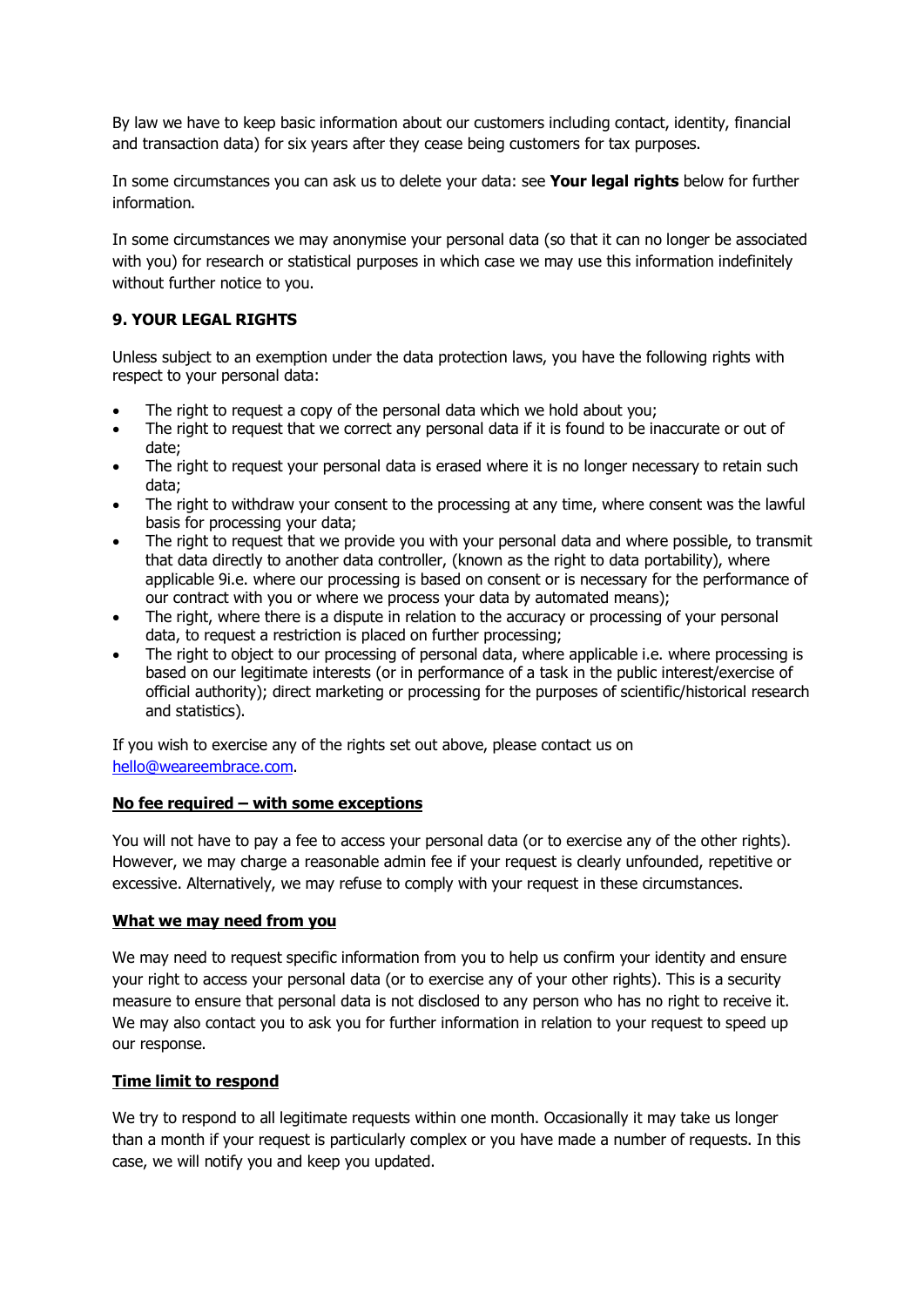By law we have to keep basic information about our customers including contact, identity, financial and transaction data) for six years after they cease being customers for tax purposes.

In some circumstances you can ask us to delete your data: see **Your legal rights** below for further information.

In some circumstances we may anonymise your personal data (so that it can no longer be associated with you) for research or statistical purposes in which case we may use this information indefinitely without further notice to you.

## **9. YOUR LEGAL RIGHTS**

Unless subject to an exemption under the data protection laws, you have the following rights with respect to your personal data:

- The right to request a copy of the personal data which we hold about you;
- The right to request that we correct any personal data if it is found to be inaccurate or out of date;
- The right to request your personal data is erased where it is no longer necessary to retain such data;
- The right to withdraw your consent to the processing at any time, where consent was the lawful basis for processing your data;
- The right to request that we provide you with your personal data and where possible, to transmit that data directly to another data controller, (known as the right to data portability), where applicable 9i.e. where our processing is based on consent or is necessary for the performance of our contract with you or where we process your data by automated means);
- The right, where there is a dispute in relation to the accuracy or processing of your personal data, to request a restriction is placed on further processing;
- The right to object to our processing of personal data, where applicable i.e. where processing is based on our legitimate interests (or in performance of a task in the public interest/exercise of official authority); direct marketing or processing for the purposes of scientific/historical research and statistics).

If you wish to exercise any of the rights set out above, please contact us on hello@weareembrace.com.

### **No fee required – with some exceptions**

You will not have to pay a fee to access your personal data (or to exercise any of the other rights). However, we may charge a reasonable admin fee if your request is clearly unfounded, repetitive or excessive. Alternatively, we may refuse to comply with your request in these circumstances.

### **What we may need from you**

We may need to request specific information from you to help us confirm your identity and ensure your right to access your personal data (or to exercise any of your other rights). This is a security measure to ensure that personal data is not disclosed to any person who has no right to receive it. We may also contact you to ask you for further information in relation to your request to speed up our response.

### **Time limit to respond**

We try to respond to all legitimate requests within one month. Occasionally it may take us longer than a month if your request is particularly complex or you have made a number of requests. In this case, we will notify you and keep you updated.